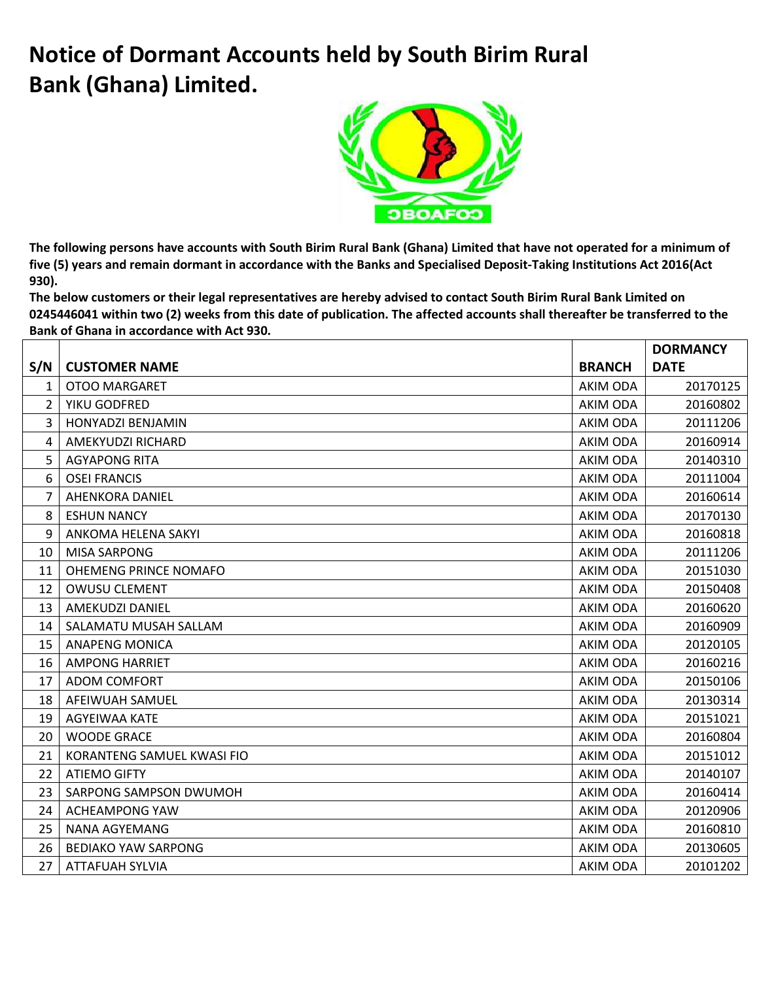## **Notice of Dormant Accounts held by South Birim Rural Bank (Ghana) Limited.**



**The following persons have accounts with South Birim Rural Bank (Ghana) Limited that have not operated for a minimum of five (5) years and remain dormant in accordance with the Banks and Specialised Deposit-Taking Institutions Act 2016(Act 930).** 

**The below customers or their legal representatives are hereby advised to contact South Birim Rural Bank Limited on 0245446041 within two (2) weeks from this date of publication. The affected accounts shall thereafter be transferred to the Bank of Ghana in accordance with Act 930.**

|                |                            |                 | <b>DORMANCY</b> |
|----------------|----------------------------|-----------------|-----------------|
| S/N            | <b>CUSTOMER NAME</b>       | <b>BRANCH</b>   | <b>DATE</b>     |
| $\mathbf{1}$   | <b>OTOO MARGARET</b>       | AKIM ODA        | 20170125        |
| $\overline{2}$ | YIKU GODFRED               | AKIM ODA        | 20160802        |
| 3              | <b>HONYADZI BENJAMIN</b>   | AKIM ODA        | 20111206        |
| 4              | AMEKYUDZI RICHARD          | AKIM ODA        | 20160914        |
| 5              | <b>AGYAPONG RITA</b>       | AKIM ODA        | 20140310        |
| 6              | <b>OSEI FRANCIS</b>        | AKIM ODA        | 20111004        |
| $\overline{7}$ | <b>AHENKORA DANIEL</b>     | <b>AKIM ODA</b> | 20160614        |
| 8              | <b>ESHUN NANCY</b>         | AKIM ODA        | 20170130        |
| 9              | ANKOMA HELENA SAKYI        | AKIM ODA        | 20160818        |
| 10             | <b>MISA SARPONG</b>        | AKIM ODA        | 20111206        |
| 11             | OHEMENG PRINCE NOMAFO      | AKIM ODA        | 20151030        |
| 12             | <b>OWUSU CLEMENT</b>       | <b>AKIM ODA</b> | 20150408        |
| 13             | <b>AMEKUDZI DANIEL</b>     | AKIM ODA        | 20160620        |
| 14             | SALAMATU MUSAH SALLAM      | <b>AKIM ODA</b> | 20160909        |
| 15             | <b>ANAPENG MONICA</b>      | AKIM ODA        | 20120105        |
| 16             | <b>AMPONG HARRIET</b>      | AKIM ODA        | 20160216        |
| 17             | <b>ADOM COMFORT</b>        | AKIM ODA        | 20150106        |
| 18             | AFEIWUAH SAMUEL            | AKIM ODA        | 20130314        |
| 19             | AGYEIWAA KATE              | AKIM ODA        | 20151021        |
| 20             | <b>WOODE GRACE</b>         | AKIM ODA        | 20160804        |
| 21             | KORANTENG SAMUEL KWASI FIO | AKIM ODA        | 20151012        |
| 22             | <b>ATIEMO GIFTY</b>        | AKIM ODA        | 20140107        |
| 23             | SARPONG SAMPSON DWUMOH     | AKIM ODA        | 20160414        |
| 24             | <b>ACHEAMPONG YAW</b>      | <b>AKIM ODA</b> | 20120906        |
| 25             | NANA AGYEMANG              | AKIM ODA        | 20160810        |
| 26             | <b>BEDIAKO YAW SARPONG</b> | AKIM ODA        | 20130605        |
| 27             | <b>ATTAFUAH SYLVIA</b>     | AKIM ODA        | 20101202        |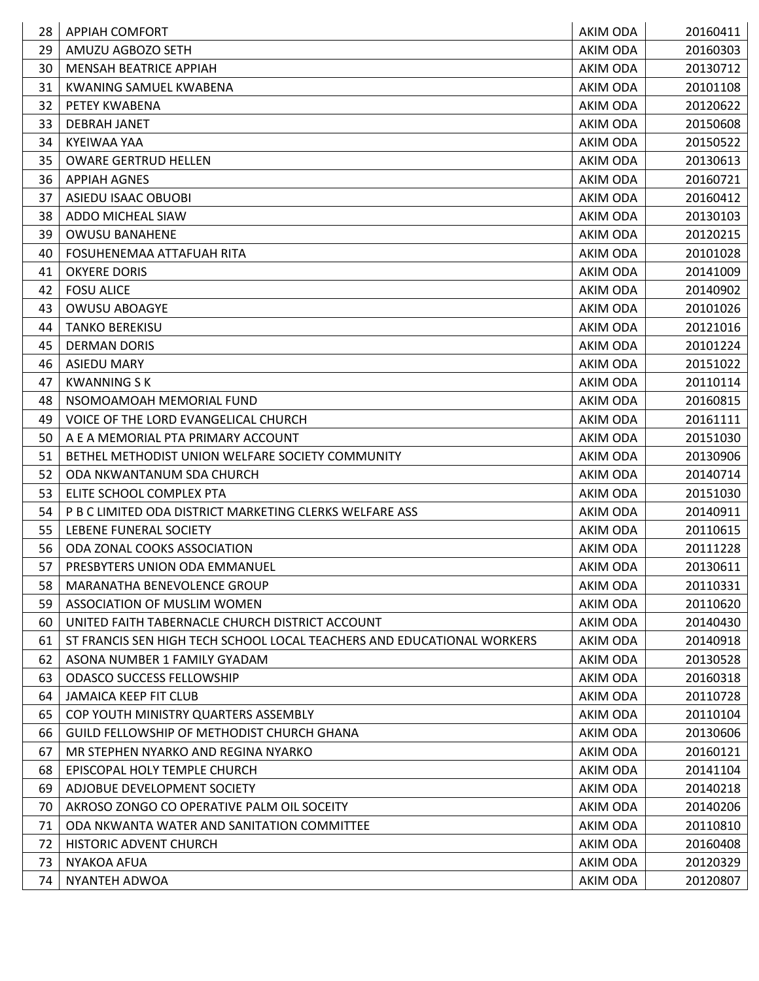| 28       | <b>APPIAH COMFORT</b>                                                  | AKIM ODA             | 20160411             |
|----------|------------------------------------------------------------------------|----------------------|----------------------|
| 29       | AMUZU AGBOZO SETH                                                      | AKIM ODA             | 20160303             |
| 30       | <b>MENSAH BEATRICE APPIAH</b>                                          | AKIM ODA             | 20130712             |
| 31       | <b>KWANING SAMUEL KWABENA</b>                                          | AKIM ODA             | 20101108             |
| 32       | PETEY KWABENA                                                          | AKIM ODA             | 20120622             |
| 33       | <b>DEBRAH JANET</b>                                                    | AKIM ODA             | 20150608             |
| 34       | KYEIWAA YAA                                                            | AKIM ODA             | 20150522             |
| 35       | <b>OWARE GERTRUD HELLEN</b>                                            | AKIM ODA             | 20130613             |
| 36       | APPIAH AGNES                                                           | AKIM ODA             | 20160721             |
| 37       | ASIEDU ISAAC OBUOBI                                                    | <b>AKIM ODA</b>      | 20160412             |
| 38       | ADDO MICHEAL SIAW                                                      | AKIM ODA             | 20130103             |
| 39       | <b>OWUSU BANAHENE</b>                                                  | AKIM ODA             | 20120215             |
| 40       | FOSUHENEMAA ATTAFUAH RITA                                              | AKIM ODA             | 20101028             |
| 41       | <b>OKYERE DORIS</b>                                                    | <b>AKIM ODA</b>      | 20141009             |
| 42       | <b>FOSU ALICE</b>                                                      | AKIM ODA             | 20140902             |
| 43       | <b>OWUSU ABOAGYE</b>                                                   | AKIM ODA             | 20101026             |
| 44       | <b>TANKO BEREKISU</b>                                                  | AKIM ODA             | 20121016             |
| 45       | <b>DERMAN DORIS</b>                                                    | AKIM ODA             | 20101224             |
| 46       | <b>ASIEDU MARY</b>                                                     | AKIM ODA             | 20151022             |
| 47       | <b>KWANNING S K</b>                                                    | AKIM ODA             | 20110114             |
| 48       | NSOMOAMOAH MEMORIAL FUND                                               | AKIM ODA             | 20160815             |
| 49       | VOICE OF THE LORD EVANGELICAL CHURCH                                   | AKIM ODA             | 20161111             |
| 50       | A E A MEMORIAL PTA PRIMARY ACCOUNT                                     | AKIM ODA             | 20151030             |
| 51       | BETHEL METHODIST UNION WELFARE SOCIETY COMMUNITY                       | AKIM ODA             | 20130906             |
| 52       | ODA NKWANTANUM SDA CHURCH                                              | AKIM ODA             | 20140714             |
| 53       | ELITE SCHOOL COMPLEX PTA                                               | AKIM ODA             | 20151030             |
| 54       | P B C LIMITED ODA DISTRICT MARKETING CLERKS WELFARE ASS                | AKIM ODA             | 20140911             |
| 55       | LEBENE FUNERAL SOCIETY                                                 | AKIM ODA             | 20110615             |
| 56       | ODA ZONAL COOKS ASSOCIATION                                            | AKIM ODA             | 20111228             |
| 57       | PRESBYTERS UNION ODA EMMANUEL                                          | AKIM ODA             | 20130611             |
| 58       | MARANATHA BENEVOLENCE GROUP                                            | AKIM ODA             | 20110331             |
| 59       | ASSOCIATION OF MUSLIM WOMEN                                            | AKIM ODA             | 20110620             |
| 60       | UNITED FAITH TABERNACLE CHURCH DISTRICT ACCOUNT                        | AKIM ODA             | 20140430             |
| 61       | ST FRANCIS SEN HIGH TECH SCHOOL LOCAL TEACHERS AND EDUCATIONAL WORKERS | AKIM ODA             | 20140918             |
| 62       | ASONA NUMBER 1 FAMILY GYADAM                                           | AKIM ODA             | 20130528             |
| 63       | <b>ODASCO SUCCESS FELLOWSHIP</b>                                       | AKIM ODA             | 20160318             |
| 64<br>65 | <b>JAMAICA KEEP FIT CLUB</b><br>COP YOUTH MINISTRY QUARTERS ASSEMBLY   | AKIM ODA             | 20110728<br>20110104 |
| 66       | <b>GUILD FELLOWSHIP OF METHODIST CHURCH GHANA</b>                      | AKIM ODA<br>AKIM ODA | 20130606             |
| 67       | MR STEPHEN NYARKO AND REGINA NYARKO                                    | AKIM ODA             | 20160121             |
| 68       | EPISCOPAL HOLY TEMPLE CHURCH                                           | AKIM ODA             | 20141104             |
| 69       | ADJOBUE DEVELOPMENT SOCIETY                                            | AKIM ODA             | 20140218             |
| 70       | AKROSO ZONGO CO OPERATIVE PALM OIL SOCEITY                             | AKIM ODA             | 20140206             |
| 71       | ODA NKWANTA WATER AND SANITATION COMMITTEE                             | AKIM ODA             | 20110810             |
| 72       | HISTORIC ADVENT CHURCH                                                 | AKIM ODA             | 20160408             |
| 73       | <b>NYAKOA AFUA</b>                                                     | AKIM ODA             | 20120329             |
| 74       | NYANTEH ADWOA                                                          | AKIM ODA             | 20120807             |
|          |                                                                        |                      |                      |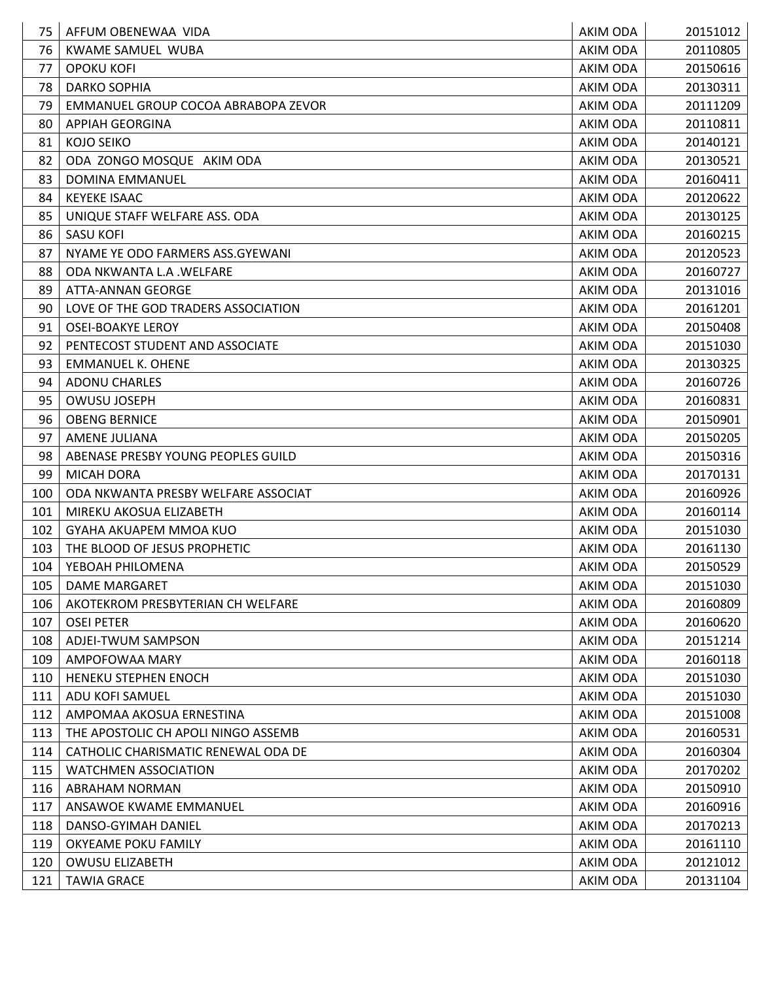| 75  | AFFUM OBENEWAA VIDA                 | AKIM ODA        | 20151012 |
|-----|-------------------------------------|-----------------|----------|
| 76  | KWAME SAMUEL WUBA                   | <b>AKIM ODA</b> | 20110805 |
| 77  | <b>OPOKU KOFI</b>                   | AKIM ODA        | 20150616 |
| 78  | <b>DARKO SOPHIA</b>                 | AKIM ODA        | 20130311 |
| 79  | EMMANUEL GROUP COCOA ABRABOPA ZEVOR | AKIM ODA        | 20111209 |
| 80  | <b>APPIAH GEORGINA</b>              | AKIM ODA        | 20110811 |
| 81  | <b>KOJO SEIKO</b>                   | AKIM ODA        | 20140121 |
| 82  | ODA ZONGO MOSQUE AKIM ODA           | AKIM ODA        | 20130521 |
| 83  | <b>DOMINA EMMANUEL</b>              | AKIM ODA        | 20160411 |
| 84  | <b>KEYEKE ISAAC</b>                 | AKIM ODA        | 20120622 |
| 85  | UNIQUE STAFF WELFARE ASS. ODA       | AKIM ODA        | 20130125 |
| 86  | <b>SASU KOFI</b>                    | AKIM ODA        | 20160215 |
| 87  | NYAME YE ODO FARMERS ASS.GYEWANI    | AKIM ODA        | 20120523 |
| 88  | ODA NKWANTA L.A. WELFARE            | AKIM ODA        | 20160727 |
| 89  | ATTA-ANNAN GEORGE                   | AKIM ODA        | 20131016 |
| 90  | LOVE OF THE GOD TRADERS ASSOCIATION | <b>AKIM ODA</b> | 20161201 |
| 91  | <b>OSEI-BOAKYE LEROY</b>            | AKIM ODA        | 20150408 |
| 92  | PENTECOST STUDENT AND ASSOCIATE     | <b>AKIM ODA</b> | 20151030 |
| 93  | <b>EMMANUEL K. OHENE</b>            | AKIM ODA        | 20130325 |
| 94  | <b>ADONU CHARLES</b>                | <b>AKIM ODA</b> | 20160726 |
| 95  | <b>OWUSU JOSEPH</b>                 | AKIM ODA        | 20160831 |
| 96  | <b>OBENG BERNICE</b>                | <b>AKIM ODA</b> | 20150901 |
| 97  | <b>AMENE JULIANA</b>                | AKIM ODA        | 20150205 |
| 98  | ABENASE PRESBY YOUNG PEOPLES GUILD  | AKIM ODA        | 20150316 |
| 99  | <b>MICAH DORA</b>                   | AKIM ODA        | 20170131 |
| 100 | ODA NKWANTA PRESBY WELFARE ASSOCIAT | AKIM ODA        | 20160926 |
| 101 | MIREKU AKOSUA ELIZABETH             | AKIM ODA        | 20160114 |
| 102 | GYAHA AKUAPEM MMOA KUO              | AKIM ODA        | 20151030 |
| 103 | THE BLOOD OF JESUS PROPHETIC        | AKIM ODA        | 20161130 |
| 104 | YEBOAH PHILOMENA                    | AKIM ODA        | 20150529 |
| 105 | <b>DAME MARGARET</b>                | AKIM ODA        | 20151030 |
| 106 | AKOTEKROM PRESBYTERIAN CH WELFARE   | AKIM ODA        | 20160809 |
| 107 | <b>OSEI PETER</b>                   | AKIM ODA        | 20160620 |
| 108 | ADJEI-TWUM SAMPSON                  | AKIM ODA        | 20151214 |
| 109 | AMPOFOWAA MARY                      | AKIM ODA        | 20160118 |
| 110 | HENEKU STEPHEN ENOCH                | AKIM ODA        | 20151030 |
| 111 | ADU KOFI SAMUEL                     | AKIM ODA        | 20151030 |
| 112 | AMPOMAA AKOSUA ERNESTINA            | AKIM ODA        | 20151008 |
| 113 | THE APOSTOLIC CH APOLI NINGO ASSEMB | AKIM ODA        | 20160531 |
| 114 | CATHOLIC CHARISMATIC RENEWAL ODA DE | AKIM ODA        | 20160304 |
| 115 | <b>WATCHMEN ASSOCIATION</b>         | AKIM ODA        | 20170202 |
| 116 | ABRAHAM NORMAN                      | AKIM ODA        | 20150910 |
| 117 | ANSAWOE KWAME EMMANUEL              | AKIM ODA        | 20160916 |
| 118 | DANSO-GYIMAH DANIEL                 | AKIM ODA        | 20170213 |
| 119 | OKYEAME POKU FAMILY                 | AKIM ODA        | 20161110 |
| 120 | <b>OWUSU ELIZABETH</b>              | AKIM ODA        | 20121012 |
| 121 | <b>TAWIA GRACE</b>                  | AKIM ODA        | 20131104 |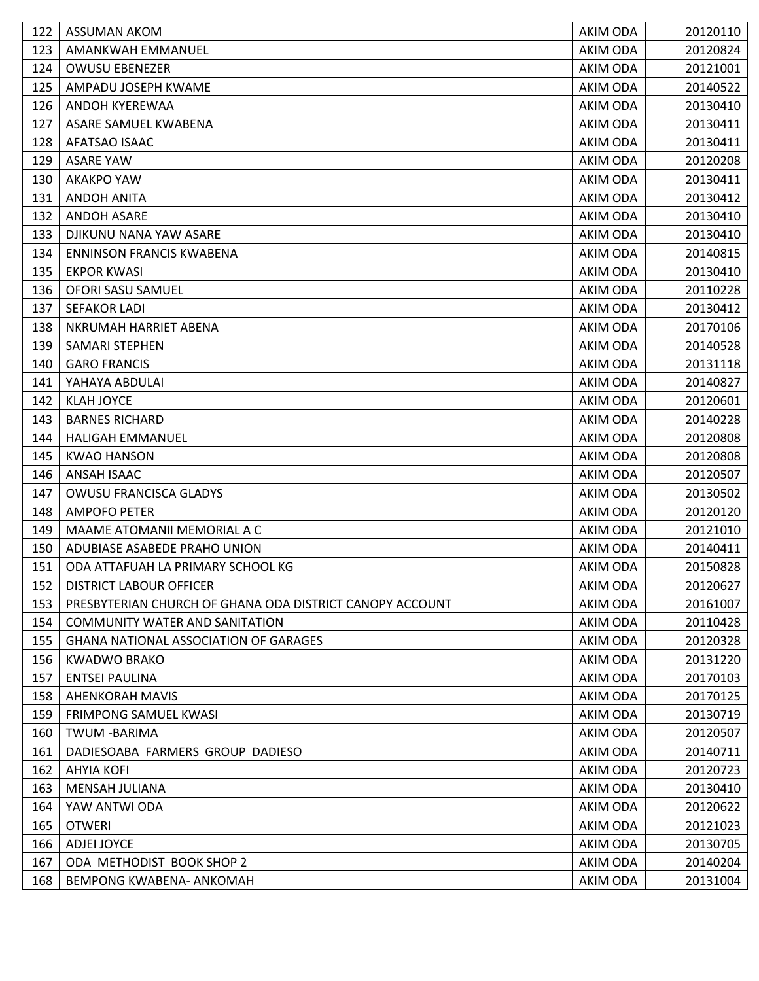| 122 | ASSUMAN AKOM                                             | AKIM ODA        | 20120110 |
|-----|----------------------------------------------------------|-----------------|----------|
| 123 | AMANKWAH EMMANUEL                                        | <b>AKIM ODA</b> | 20120824 |
| 124 | <b>OWUSU EBENEZER</b>                                    | AKIM ODA        | 20121001 |
| 125 | AMPADU JOSEPH KWAME                                      | AKIM ODA        | 20140522 |
| 126 | ANDOH KYEREWAA                                           | AKIM ODA        | 20130410 |
| 127 | ASARE SAMUEL KWABENA                                     | AKIM ODA        | 20130411 |
| 128 | AFATSAO ISAAC                                            | AKIM ODA        | 20130411 |
| 129 | <b>ASARE YAW</b>                                         | <b>AKIM ODA</b> | 20120208 |
| 130 | AKAKPO YAW                                               | AKIM ODA        | 20130411 |
| 131 | <b>ANDOH ANITA</b>                                       | <b>AKIM ODA</b> | 20130412 |
| 132 | <b>ANDOH ASARE</b>                                       | AKIM ODA        | 20130410 |
| 133 | DJIKUNU NANA YAW ASARE                                   | AKIM ODA        | 20130410 |
| 134 | <b>ENNINSON FRANCIS KWABENA</b>                          | AKIM ODA        | 20140815 |
| 135 | <b>EKPOR KWASI</b>                                       | AKIM ODA        | 20130410 |
| 136 | OFORI SASU SAMUEL                                        | AKIM ODA        | 20110228 |
| 137 | <b>SEFAKOR LADI</b>                                      | AKIM ODA        | 20130412 |
| 138 | NKRUMAH HARRIET ABENA                                    | AKIM ODA        | 20170106 |
| 139 | <b>SAMARI STEPHEN</b>                                    | AKIM ODA        | 20140528 |
| 140 | <b>GARO FRANCIS</b>                                      | AKIM ODA        | 20131118 |
| 141 | YAHAYA ABDULAI                                           | AKIM ODA        | 20140827 |
| 142 | <b>KLAH JOYCE</b>                                        | AKIM ODA        | 20120601 |
| 143 | <b>BARNES RICHARD</b>                                    | AKIM ODA        | 20140228 |
| 144 | <b>HALIGAH EMMANUEL</b>                                  | AKIM ODA        | 20120808 |
| 145 | <b>KWAO HANSON</b>                                       | AKIM ODA        | 20120808 |
| 146 | ANSAH ISAAC                                              | AKIM ODA        | 20120507 |
| 147 | OWUSU FRANCISCA GLADYS                                   | AKIM ODA        | 20130502 |
| 148 | <b>AMPOFO PETER</b>                                      | AKIM ODA        | 20120120 |
| 149 | MAAME ATOMANII MEMORIAL A C                              | AKIM ODA        | 20121010 |
| 150 | ADUBIASE ASABEDE PRAHO UNION                             | AKIM ODA        | 20140411 |
| 151 | ODA ATTAFUAH LA PRIMARY SCHOOL KG                        | AKIM ODA        | 20150828 |
| 152 | DISTRICT LABOUR OFFICER                                  | AKIM ODA        | 20120627 |
| 153 | PRESBYTERIAN CHURCH OF GHANA ODA DISTRICT CANOPY ACCOUNT | AKIM ODA        | 20161007 |
| 154 | <b>COMMUNITY WATER AND SANITATION</b>                    | AKIM ODA        | 20110428 |
| 155 | <b>GHANA NATIONAL ASSOCIATION OF GARAGES</b>             | AKIM ODA        | 20120328 |
| 156 | <b>KWADWO BRAKO</b>                                      | AKIM ODA        | 20131220 |
| 157 | <b>ENTSEI PAULINA</b>                                    | AKIM ODA        | 20170103 |
| 158 | <b>AHENKORAH MAVIS</b>                                   | AKIM ODA        | 20170125 |
| 159 | <b>FRIMPONG SAMUEL KWASI</b>                             | AKIM ODA        | 20130719 |
| 160 | <b>TWUM -BARIMA</b>                                      | AKIM ODA        | 20120507 |
| 161 | DADIESOABA FARMERS GROUP DADIESO                         | AKIM ODA        | 20140711 |
| 162 | <b>AHYIA KOFI</b>                                        | <b>AKIM ODA</b> | 20120723 |
| 163 | MENSAH JULIANA                                           | AKIM ODA        | 20130410 |
| 164 | YAW ANTWI ODA                                            | AKIM ODA        | 20120622 |
| 165 | <b>OTWERI</b>                                            | AKIM ODA        | 20121023 |
| 166 | ADJEI JOYCE                                              | AKIM ODA        | 20130705 |
| 167 | ODA METHODIST BOOK SHOP 2                                | AKIM ODA        | 20140204 |
| 168 | BEMPONG KWABENA- ANKOMAH                                 | AKIM ODA        | 20131004 |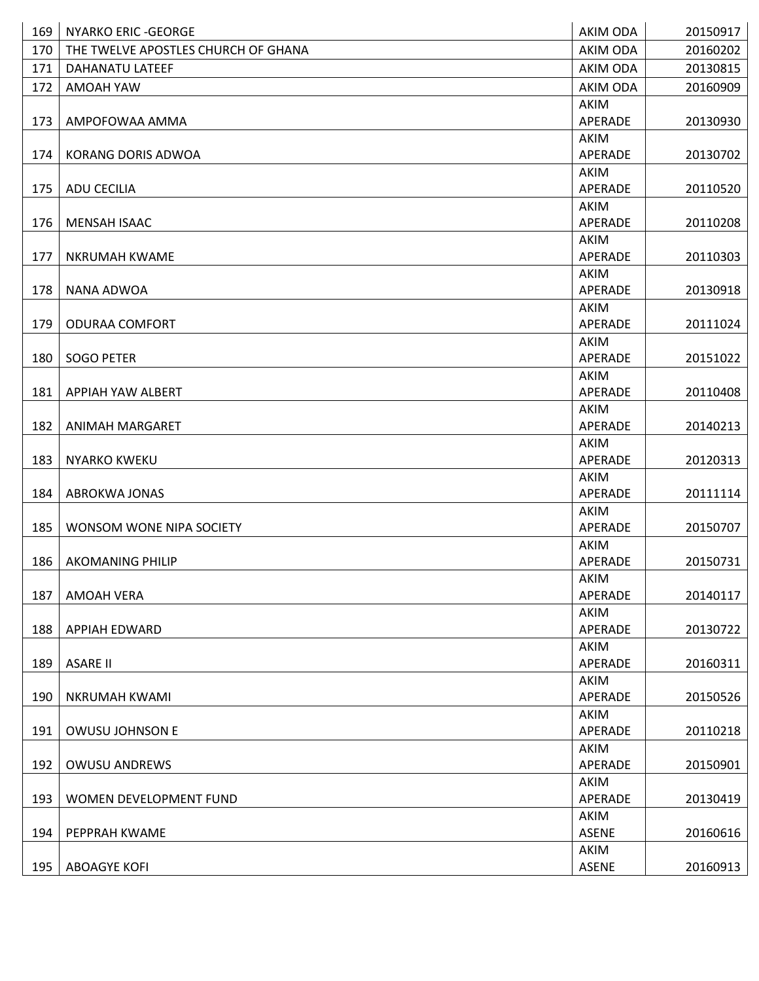| 169 | <b>NYARKO ERIC - GEORGE</b>         | AKIM ODA        | 20150917 |
|-----|-------------------------------------|-----------------|----------|
| 170 | THE TWELVE APOSTLES CHURCH OF GHANA | <b>AKIM ODA</b> | 20160202 |
| 171 | DAHANATU LATEEF                     | <b>AKIM ODA</b> | 20130815 |
| 172 | AMOAH YAW                           | <b>AKIM ODA</b> | 20160909 |
|     |                                     | AKIM            |          |
| 173 | AMPOFOWAA AMMA                      | APERADE         | 20130930 |
|     |                                     | AKIM            |          |
| 174 | KORANG DORIS ADWOA                  | APERADE         | 20130702 |
|     |                                     | AKIM            |          |
| 175 | <b>ADU CECILIA</b>                  | APERADE         | 20110520 |
|     |                                     | AKIM            |          |
| 176 | <b>MENSAH ISAAC</b>                 | APERADE         | 20110208 |
|     |                                     | AKIM            |          |
| 177 | <b>NKRUMAH KWAME</b>                | APERADE         | 20110303 |
|     |                                     | AKIM<br>APERADE |          |
| 178 | NANA ADWOA                          | AKIM            | 20130918 |
| 179 | <b>ODURAA COMFORT</b>               | APERADE         | 20111024 |
|     |                                     | AKIM            |          |
| 180 | <b>SOGO PETER</b>                   | APERADE         | 20151022 |
|     |                                     | AKIM            |          |
| 181 | APPIAH YAW ALBERT                   | APERADE         | 20110408 |
|     |                                     | AKIM            |          |
| 182 | <b>ANIMAH MARGARET</b>              | APERADE         | 20140213 |
|     |                                     | AKIM            |          |
| 183 | <b>NYARKO KWEKU</b>                 | APERADE         | 20120313 |
|     |                                     | AKIM            |          |
| 184 | <b>ABROKWA JONAS</b>                | APERADE         | 20111114 |
|     |                                     | AKIM            |          |
| 185 | WONSOM WONE NIPA SOCIETY            | APERADE         | 20150707 |
|     |                                     | AKIM            |          |
| 186 | <b>AKOMANING PHILIP</b>             | APERADE         | 20150731 |
|     |                                     | AKIM<br>APERADE |          |
| 187 | <b>AMOAH VERA</b>                   | AKIM            | 20140117 |
| 188 | <b>APPIAH EDWARD</b>                | APERADE         | 20130722 |
|     |                                     | AKIM            |          |
| 189 | <b>ASARE II</b>                     | APERADE         | 20160311 |
|     |                                     | AKIM            |          |
| 190 | <b>NKRUMAH KWAMI</b>                | APERADE         | 20150526 |
|     |                                     | AKIM            |          |
| 191 | OWUSU JOHNSON E                     | APERADE         | 20110218 |
|     |                                     | AKIM            |          |
| 192 | <b>OWUSU ANDREWS</b>                | APERADE         | 20150901 |
|     |                                     | AKIM            |          |
| 193 | WOMEN DEVELOPMENT FUND              | APERADE         | 20130419 |
|     |                                     | AKIM            |          |
| 194 | PEPPRAH KWAME                       | <b>ASENE</b>    | 20160616 |
|     |                                     | AKIM            |          |
| 195 | <b>ABOAGYE KOFI</b>                 | <b>ASENE</b>    | 20160913 |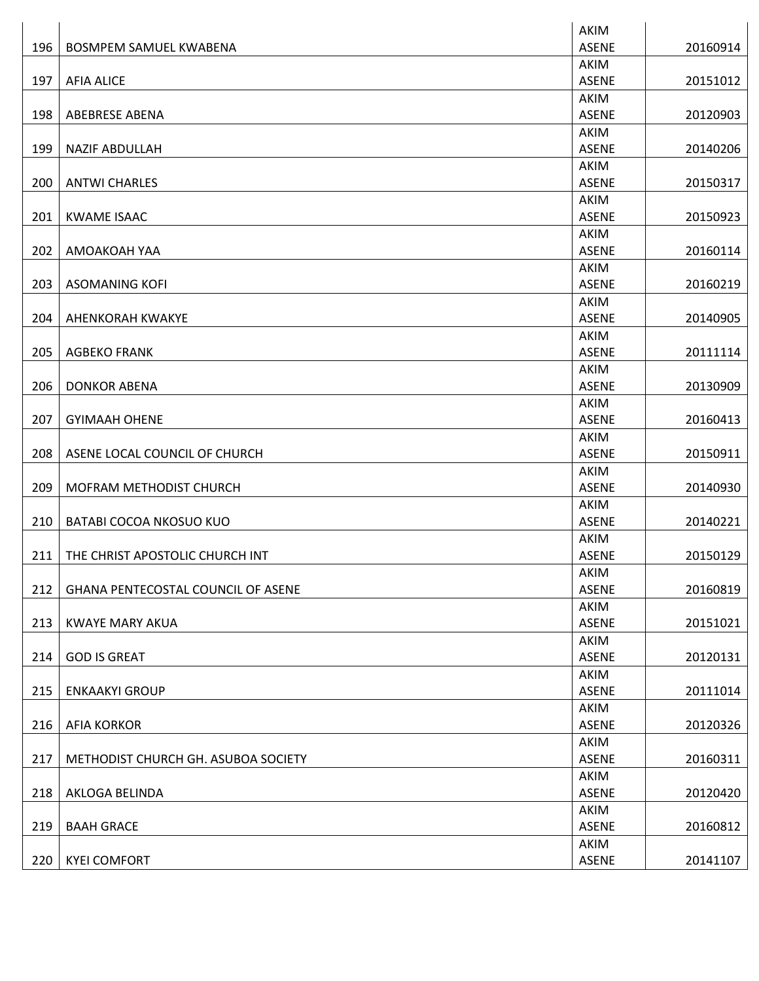|     |                                           | AKIM                 |          |
|-----|-------------------------------------------|----------------------|----------|
| 196 | <b>BOSMPEM SAMUEL KWABENA</b>             | <b>ASENE</b>         | 20160914 |
|     |                                           | AKIM                 |          |
| 197 | <b>AFIA ALICE</b>                         | <b>ASENE</b>         | 20151012 |
|     |                                           | AKIM                 |          |
| 198 | <b>ABEBRESE ABENA</b>                     | <b>ASENE</b>         | 20120903 |
|     |                                           | AKIM                 |          |
| 199 | <b>NAZIF ABDULLAH</b>                     | <b>ASENE</b>         | 20140206 |
|     |                                           | AKIM                 |          |
| 200 | <b>ANTWI CHARLES</b>                      | <b>ASENE</b>         | 20150317 |
|     |                                           | AKIM                 |          |
| 201 | <b>KWAME ISAAC</b>                        | <b>ASENE</b>         | 20150923 |
|     |                                           | AKIM                 |          |
| 202 | AMOAKOAH YAA                              | <b>ASENE</b>         | 20160114 |
|     |                                           | AKIM                 |          |
| 203 | <b>ASOMANING KOFI</b>                     | <b>ASENE</b>         | 20160219 |
|     |                                           | AKIM                 |          |
| 204 | <b>AHENKORAH KWAKYE</b>                   | <b>ASENE</b>         | 20140905 |
|     |                                           | AKIM                 |          |
| 205 | <b>AGBEKO FRANK</b>                       | <b>ASENE</b>         | 20111114 |
|     |                                           | AKIM                 |          |
| 206 | <b>DONKOR ABENA</b>                       | <b>ASENE</b>         | 20130909 |
|     |                                           | AKIM                 |          |
| 207 | <b>GYIMAAH OHENE</b>                      | <b>ASENE</b>         | 20160413 |
|     |                                           | AKIM                 |          |
| 208 | ASENE LOCAL COUNCIL OF CHURCH             | <b>ASENE</b>         | 20150911 |
|     |                                           | AKIM                 |          |
| 209 | MOFRAM METHODIST CHURCH                   | <b>ASENE</b>         | 20140930 |
|     |                                           | AKIM                 |          |
| 210 | BATABI COCOA NKOSUO KUO                   | <b>ASENE</b>         | 20140221 |
|     |                                           | AKIM                 |          |
| 211 | THE CHRIST APOSTOLIC CHURCH INT           | <b>ASENE</b>         | 20150129 |
|     | <b>GHANA PENTECOSTAL COUNCIL OF ASENE</b> | AKIM<br><b>ASENE</b> |          |
| 212 |                                           | AKIM                 | 20160819 |
| 213 | <b>KWAYE MARY AKUA</b>                    | <b>ASENE</b>         | 20151021 |
|     |                                           | AKIM                 |          |
| 214 | <b>GOD IS GREAT</b>                       | <b>ASENE</b>         | 20120131 |
|     |                                           | AKIM                 |          |
| 215 | <b>ENKAAKYI GROUP</b>                     | <b>ASENE</b>         | 20111014 |
|     |                                           | AKIM                 |          |
| 216 | <b>AFIA KORKOR</b>                        | <b>ASENE</b>         | 20120326 |
|     |                                           | AKIM                 |          |
| 217 | METHODIST CHURCH GH. ASUBOA SOCIETY       | <b>ASENE</b>         | 20160311 |
|     |                                           | AKIM                 |          |
| 218 | AKLOGA BELINDA                            | <b>ASENE</b>         | 20120420 |
|     |                                           | AKIM                 |          |
| 219 | <b>BAAH GRACE</b>                         | <b>ASENE</b>         | 20160812 |
|     |                                           | AKIM                 |          |
| 220 | <b>KYEI COMFORT</b>                       | <b>ASENE</b>         | 20141107 |
|     |                                           |                      |          |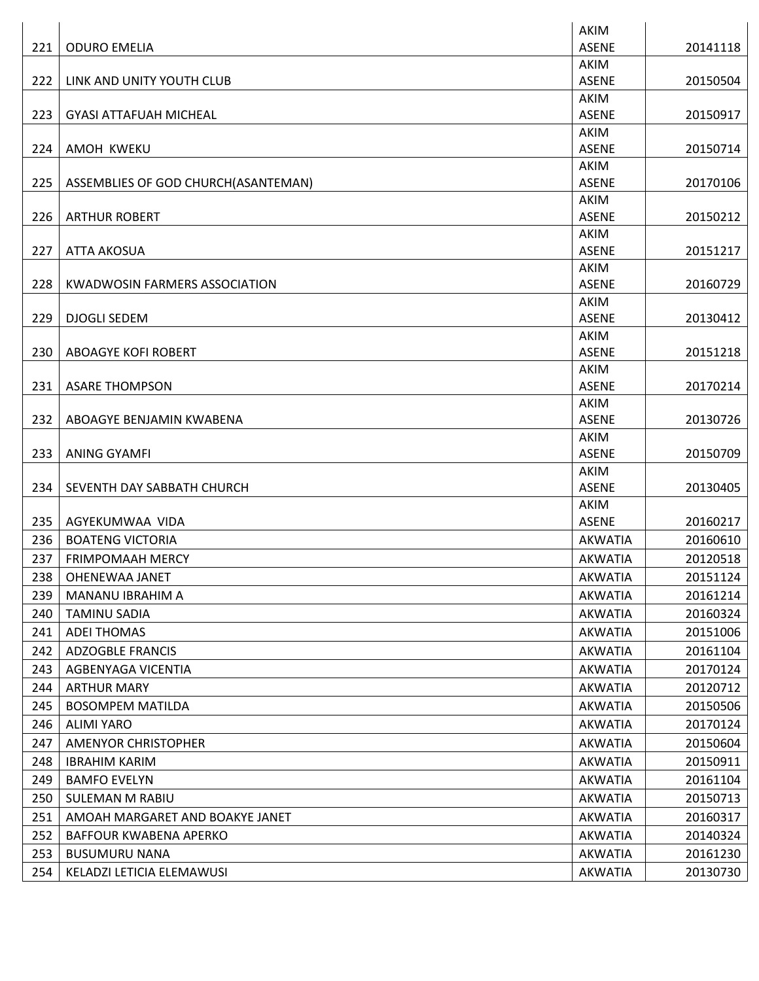|     |                                      | <b>AKIM</b>                 |          |
|-----|--------------------------------------|-----------------------------|----------|
| 221 | <b>ODURO EMELIA</b>                  | <b>ASENE</b>                | 20141118 |
|     |                                      | AKIM                        |          |
| 222 | LINK AND UNITY YOUTH CLUB            | <b>ASENE</b>                | 20150504 |
|     |                                      | <b>AKIM</b>                 |          |
| 223 | <b>GYASI ATTAFUAH MICHEAL</b>        | <b>ASENE</b>                | 20150917 |
|     |                                      | AKIM                        |          |
| 224 | AMOH KWEKU                           | <b>ASENE</b>                | 20150714 |
|     |                                      | AKIM                        |          |
| 225 | ASSEMBLIES OF GOD CHURCH(ASANTEMAN)  | <b>ASENE</b><br><b>AKIM</b> | 20170106 |
| 226 | <b>ARTHUR ROBERT</b>                 | <b>ASENE</b>                | 20150212 |
|     |                                      | AKIM                        |          |
| 227 | <b>ATTA AKOSUA</b>                   | <b>ASENE</b>                | 20151217 |
|     |                                      | AKIM                        |          |
| 228 | <b>KWADWOSIN FARMERS ASSOCIATION</b> | <b>ASENE</b>                | 20160729 |
|     |                                      | AKIM                        |          |
| 229 | <b>DJOGLI SEDEM</b>                  | <b>ASENE</b>                | 20130412 |
|     |                                      | <b>AKIM</b>                 |          |
| 230 | <b>ABOAGYE KOFI ROBERT</b>           | <b>ASENE</b>                | 20151218 |
|     |                                      | AKIM                        |          |
| 231 | <b>ASARE THOMPSON</b>                | <b>ASENE</b>                | 20170214 |
|     |                                      | AKIM                        |          |
| 232 | ABOAGYE BENJAMIN KWABENA             | <b>ASENE</b>                | 20130726 |
| 233 | <b>ANING GYAMFI</b>                  | AKIM<br><b>ASENE</b>        | 20150709 |
|     |                                      | AKIM                        |          |
| 234 | SEVENTH DAY SABBATH CHURCH           | <b>ASENE</b>                | 20130405 |
|     |                                      | AKIM                        |          |
| 235 | AGYEKUMWAA VIDA                      | <b>ASENE</b>                | 20160217 |
| 236 | <b>BOATENG VICTORIA</b>              | <b>AKWATIA</b>              | 20160610 |
| 237 | <b>FRIMPOMAAH MERCY</b>              | <b>AKWATIA</b>              | 20120518 |
| 238 | OHENEWAA JANET                       | AKWATIA                     | 20151124 |
| 239 | MANANU IBRAHIM A                     | <b>AKWATIA</b>              | 20161214 |
| 240 | <b>TAMINU SADIA</b>                  | AKWATIA                     | 20160324 |
| 241 | <b>ADEI THOMAS</b>                   | <b>AKWATIA</b>              | 20151006 |
| 242 | <b>ADZOGBLE FRANCIS</b>              | AKWATIA                     | 20161104 |
| 243 | AGBENYAGA VICENTIA                   | <b>AKWATIA</b>              | 20170124 |
| 244 | <b>ARTHUR MARY</b>                   | AKWATIA                     | 20120712 |
| 245 | <b>BOSOMPEM MATILDA</b>              | <b>AKWATIA</b>              | 20150506 |
| 246 | <b>ALIMI YARO</b>                    | AKWATIA                     | 20170124 |
| 247 | AMENYOR CHRISTOPHER                  | <b>AKWATIA</b>              | 20150604 |
| 248 | <b>IBRAHIM KARIM</b>                 | <b>AKWATIA</b>              | 20150911 |
| 249 | <b>BAMFO EVELYN</b>                  | <b>AKWATIA</b>              | 20161104 |
| 250 | SULEMAN M RABIU                      | <b>AKWATIA</b>              | 20150713 |
| 251 | AMOAH MARGARET AND BOAKYE JANET      | AKWATIA                     | 20160317 |
| 252 | BAFFOUR KWABENA APERKO               | <b>AKWATIA</b>              | 20140324 |
| 253 | <b>BUSUMURU NANA</b>                 | <b>AKWATIA</b>              | 20161230 |
| 254 | KELADZI LETICIA ELEMAWUSI            | <b>AKWATIA</b>              | 20130730 |
|     |                                      |                             |          |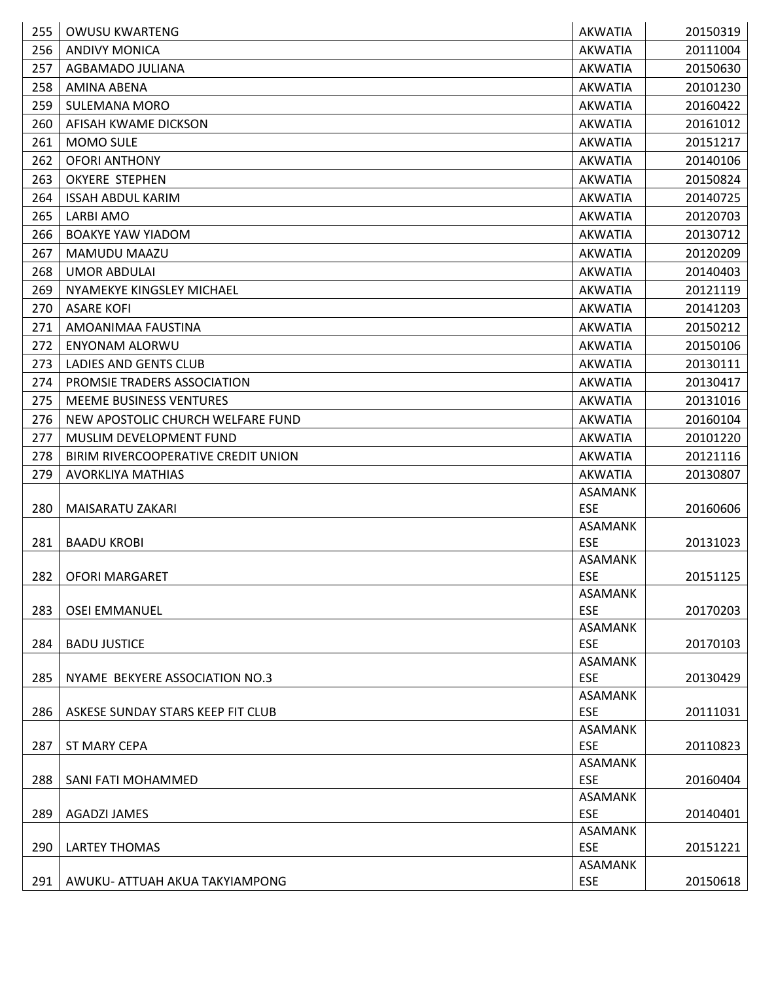| 255 | <b>OWUSU KWARTENG</b>               | <b>AKWATIA</b>               | 20150319 |
|-----|-------------------------------------|------------------------------|----------|
| 256 | <b>ANDIVY MONICA</b>                | <b>AKWATIA</b>               | 20111004 |
| 257 | AGBAMADO JULIANA                    | <b>AKWATIA</b>               | 20150630 |
| 258 | AMINA ABENA                         | <b>AKWATIA</b>               | 20101230 |
| 259 | <b>SULEMANA MORO</b>                | <b>AKWATIA</b>               | 20160422 |
| 260 | AFISAH KWAME DICKSON                | <b>AKWATIA</b>               | 20161012 |
| 261 | MOMO SULE                           | <b>AKWATIA</b>               | 20151217 |
| 262 | <b>OFORI ANTHONY</b>                | <b>AKWATIA</b>               | 20140106 |
| 263 | <b>OKYERE STEPHEN</b>               | <b>AKWATIA</b>               | 20150824 |
| 264 | <b>ISSAH ABDUL KARIM</b>            | <b>AKWATIA</b>               | 20140725 |
| 265 | LARBI AMO                           | <b>AKWATIA</b>               | 20120703 |
| 266 | <b>BOAKYE YAW YIADOM</b>            | <b>AKWATIA</b>               | 20130712 |
| 267 | MAMUDU MAAZU                        | <b>AKWATIA</b>               | 20120209 |
| 268 | <b>UMOR ABDULAI</b>                 | AKWATIA                      | 20140403 |
| 269 | NYAMEKYE KINGSLEY MICHAEL           | <b>AKWATIA</b>               | 20121119 |
| 270 | <b>ASARE KOFI</b>                   | <b>AKWATIA</b>               | 20141203 |
| 271 | AMOANIMAA FAUSTINA                  | <b>AKWATIA</b>               | 20150212 |
| 272 | <b>ENYONAM ALORWU</b>               | <b>AKWATIA</b>               | 20150106 |
| 273 | LADIES AND GENTS CLUB               | <b>AKWATIA</b>               | 20130111 |
| 274 | PROMSIE TRADERS ASSOCIATION         | <b>AKWATIA</b>               | 20130417 |
| 275 | <b>MEEME BUSINESS VENTURES</b>      | <b>AKWATIA</b>               | 20131016 |
| 276 | NEW APOSTOLIC CHURCH WELFARE FUND   | <b>AKWATIA</b>               | 20160104 |
| 277 | MUSLIM DEVELOPMENT FUND             | AKWATIA                      | 20101220 |
| 278 | BIRIM RIVERCOOPERATIVE CREDIT UNION | <b>AKWATIA</b>               | 20121116 |
| 279 | <b>AVORKLIYA MATHIAS</b>            | <b>AKWATIA</b>               | 20130807 |
|     |                                     | ASAMANK                      |          |
| 280 | MAISARATU ZAKARI                    | <b>ESE</b>                   | 20160606 |
|     |                                     | <b>ASAMANK</b>               |          |
| 281 | <b>BAADU KROBI</b>                  | <b>ESE</b>                   | 20131023 |
|     |                                     | <b>ASAMANK</b>               |          |
|     | 282   OFORI MARGARET                | ESE                          | 20151125 |
| 283 | <b>OSEI EMMANUEL</b>                | ASAMANK<br><b>ESE</b>        | 20170203 |
|     |                                     | <b>ASAMANK</b>               |          |
| 284 | <b>BADU JUSTICE</b>                 | <b>ESE</b>                   | 20170103 |
|     |                                     | <b>ASAMANK</b>               |          |
| 285 | NYAME BEKYERE ASSOCIATION NO.3      | <b>ESE</b>                   | 20130429 |
|     |                                     | <b>ASAMANK</b>               |          |
| 286 | ASKESE SUNDAY STARS KEEP FIT CLUB   | <b>ESE</b>                   | 20111031 |
|     |                                     | <b>ASAMANK</b>               |          |
| 287 | <b>ST MARY CEPA</b>                 | <b>ESE</b>                   | 20110823 |
|     |                                     | <b>ASAMANK</b>               |          |
| 288 | SANI FATI MOHAMMED                  | <b>ESE</b>                   | 20160404 |
|     |                                     | <b>ASAMANK</b><br><b>ESE</b> |          |
| 289 | <b>AGADZI JAMES</b>                 | <b>ASAMANK</b>               | 20140401 |
| 290 | <b>LARTEY THOMAS</b>                | <b>ESE</b>                   | 20151221 |
|     |                                     | ASAMANK                      |          |
| 291 | AWUKU- ATTUAH AKUA TAKYIAMPONG      | <b>ESE</b>                   | 20150618 |
|     |                                     |                              |          |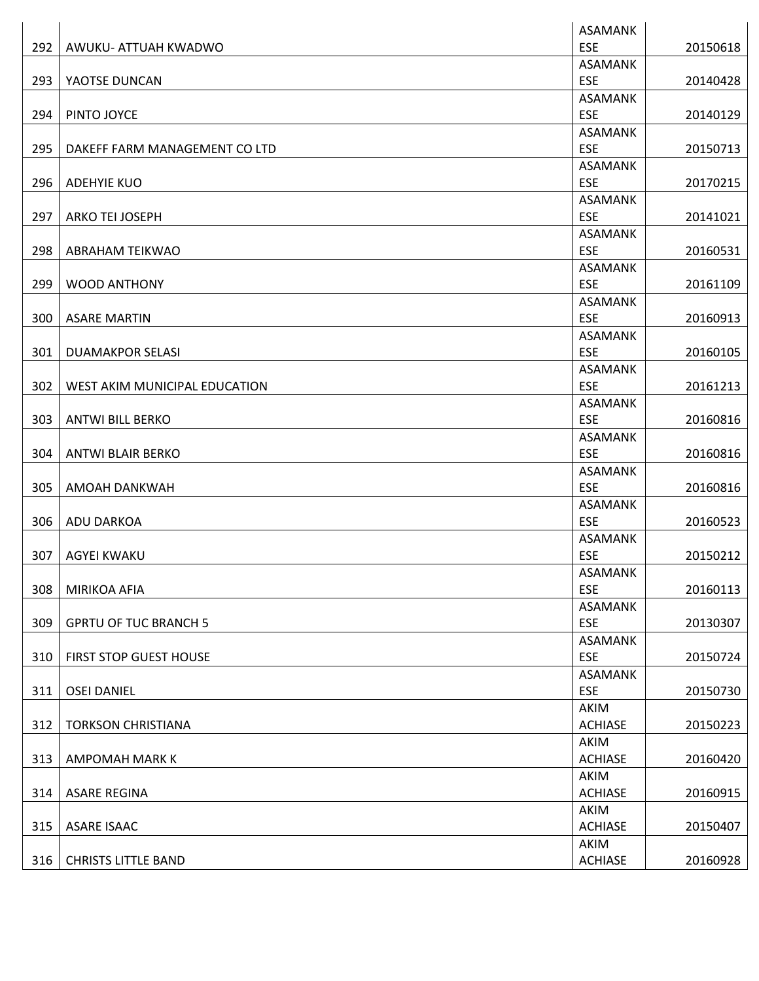|     |                               | ASAMANK                |          |
|-----|-------------------------------|------------------------|----------|
| 292 | AWUKU- ATTUAH KWADWO          | <b>ESE</b>             | 20150618 |
|     |                               | <b>ASAMANK</b>         |          |
| 293 | YAOTSE DUNCAN                 | <b>ESE</b>             | 20140428 |
|     |                               | <b>ASAMANK</b>         |          |
| 294 | PINTO JOYCE                   | <b>ESE</b>             | 20140129 |
|     |                               | <b>ASAMANK</b>         |          |
| 295 | DAKEFF FARM MANAGEMENT CO LTD | <b>ESE</b>             | 20150713 |
|     |                               | <b>ASAMANK</b>         |          |
| 296 | <b>ADEHYIE KUO</b>            | <b>ESE</b>             | 20170215 |
|     |                               | <b>ASAMANK</b>         |          |
| 297 | <b>ARKO TEI JOSEPH</b>        | <b>ESE</b>             | 20141021 |
|     |                               | <b>ASAMANK</b>         |          |
| 298 | ABRAHAM TEIKWAO               | ESE                    | 20160531 |
|     |                               | <b>ASAMANK</b>         |          |
| 299 | <b>WOOD ANTHONY</b>           | <b>ESE</b>             | 20161109 |
|     |                               | <b>ASAMANK</b>         |          |
| 300 | <b>ASARE MARTIN</b>           | <b>ESE</b>             | 20160913 |
|     |                               | ASAMANK                |          |
| 301 | <b>DUAMAKPOR SELASI</b>       | <b>ESE</b>             | 20160105 |
|     |                               | <b>ASAMANK</b>         |          |
| 302 | WEST AKIM MUNICIPAL EDUCATION | <b>ESE</b>             | 20161213 |
|     |                               | <b>ASAMANK</b>         |          |
| 303 | <b>ANTWI BILL BERKO</b>       | <b>ESE</b>             | 20160816 |
|     |                               | <b>ASAMANK</b>         |          |
| 304 | <b>ANTWI BLAIR BERKO</b>      | <b>ESE</b>             | 20160816 |
|     |                               | ASAMANK                |          |
| 305 | AMOAH DANKWAH                 | ESE                    | 20160816 |
|     |                               | <b>ASAMANK</b>         |          |
| 306 | <b>ADU DARKOA</b>             | <b>ESE</b>             | 20160523 |
|     |                               | <b>ASAMANK</b>         |          |
| 307 | <b>AGYEI KWAKU</b>            | <b>ESE</b>             | 20150212 |
|     |                               | ASAMANK                |          |
| 308 | MIRIKOA AFIA                  | <b>ESE</b>             | 20160113 |
|     |                               | <b>ASAMANK</b>         |          |
| 309 | <b>GPRTU OF TUC BRANCH 5</b>  | <b>ESE</b>             | 20130307 |
|     |                               | <b>ASAMANK</b>         |          |
| 310 | FIRST STOP GUEST HOUSE        | <b>ESE</b>             | 20150724 |
|     |                               | <b>ASAMANK</b>         |          |
| 311 | <b>OSEI DANIEL</b>            | <b>ESE</b>             | 20150730 |
|     |                               | AKIM                   |          |
| 312 | <b>TORKSON CHRISTIANA</b>     | <b>ACHIASE</b>         | 20150223 |
| 313 | <b>AMPOMAH MARK K</b>         | AKIM<br><b>ACHIASE</b> | 20160420 |
|     |                               |                        |          |
| 314 | <b>ASARE REGINA</b>           | AKIM<br><b>ACHIASE</b> | 20160915 |
|     |                               |                        |          |
| 315 | ASARE ISAAC                   | AKIM<br><b>ACHIASE</b> | 20150407 |
|     |                               | AKIM                   |          |
| 316 | <b>CHRISTS LITTLE BAND</b>    | <b>ACHIASE</b>         | 20160928 |
|     |                               |                        |          |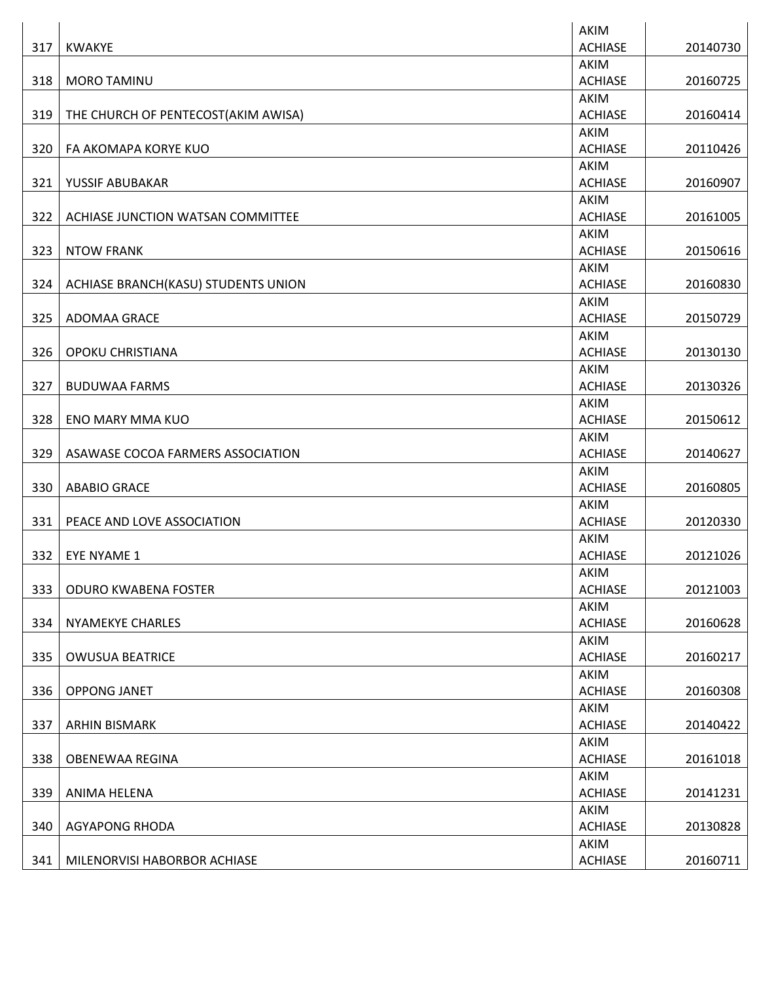|     |                                     | AKIM           |          |
|-----|-------------------------------------|----------------|----------|
| 317 | <b>KWAKYE</b>                       | <b>ACHIASE</b> | 20140730 |
|     |                                     | AKIM           |          |
| 318 | <b>MORO TAMINU</b>                  | <b>ACHIASE</b> | 20160725 |
|     |                                     | AKIM           |          |
| 319 | THE CHURCH OF PENTECOST(AKIM AWISA) | <b>ACHIASE</b> | 20160414 |
|     |                                     | AKIM           |          |
| 320 | FA AKOMAPA KORYE KUO                | <b>ACHIASE</b> | 20110426 |
|     |                                     | <b>AKIM</b>    |          |
| 321 | YUSSIF ABUBAKAR                     | <b>ACHIASE</b> | 20160907 |
|     |                                     | AKIM           |          |
| 322 | ACHIASE JUNCTION WATSAN COMMITTEE   | <b>ACHIASE</b> | 20161005 |
|     |                                     | AKIM           |          |
| 323 | <b>NTOW FRANK</b>                   | <b>ACHIASE</b> | 20150616 |
|     |                                     | AKIM           |          |
| 324 | ACHIASE BRANCH(KASU) STUDENTS UNION | <b>ACHIASE</b> | 20160830 |
|     |                                     | AKIM           |          |
| 325 | ADOMAA GRACE                        | <b>ACHIASE</b> | 20150729 |
|     |                                     | AKIM           |          |
| 326 | OPOKU CHRISTIANA                    | <b>ACHIASE</b> | 20130130 |
|     |                                     | AKIM           |          |
| 327 | <b>BUDUWAA FARMS</b>                | <b>ACHIASE</b> | 20130326 |
|     |                                     | AKIM           |          |
| 328 | <b>ENO MARY MMA KUO</b>             | <b>ACHIASE</b> | 20150612 |
|     |                                     | AKIM           |          |
| 329 | ASAWASE COCOA FARMERS ASSOCIATION   | <b>ACHIASE</b> | 20140627 |
|     |                                     | AKIM           |          |
| 330 | <b>ABABIO GRACE</b>                 | <b>ACHIASE</b> | 20160805 |
|     |                                     | AKIM           |          |
| 331 | PEACE AND LOVE ASSOCIATION          | <b>ACHIASE</b> | 20120330 |
|     |                                     | AKIM           |          |
| 332 | EYE NYAME 1                         | <b>ACHIASE</b> | 20121026 |
|     |                                     | AKIM           |          |
| 333 | <b>ODURO KWABENA FOSTER</b>         | <b>ACHIASE</b> | 20121003 |
|     |                                     | AKIM           |          |
| 334 | <b>NYAMEKYE CHARLES</b>             | <b>ACHIASE</b> | 20160628 |
|     |                                     | AKIM           |          |
| 335 | <b>OWUSUA BEATRICE</b>              | <b>ACHIASE</b> | 20160217 |
|     |                                     | AKIM           |          |
| 336 | <b>OPPONG JANET</b>                 | <b>ACHIASE</b> | 20160308 |
|     |                                     | AKIM           |          |
| 337 | <b>ARHIN BISMARK</b>                | <b>ACHIASE</b> | 20140422 |
|     |                                     | AKIM           |          |
| 338 | OBENEWAA REGINA                     | <b>ACHIASE</b> | 20161018 |
|     |                                     | AKIM           |          |
| 339 | ANIMA HELENA                        | <b>ACHIASE</b> | 20141231 |
|     |                                     | AKIM           |          |
| 340 | <b>AGYAPONG RHODA</b>               | <b>ACHIASE</b> | 20130828 |
|     |                                     | AKIM           |          |
| 341 | MILENORVISI HABORBOR ACHIASE        | <b>ACHIASE</b> | 20160711 |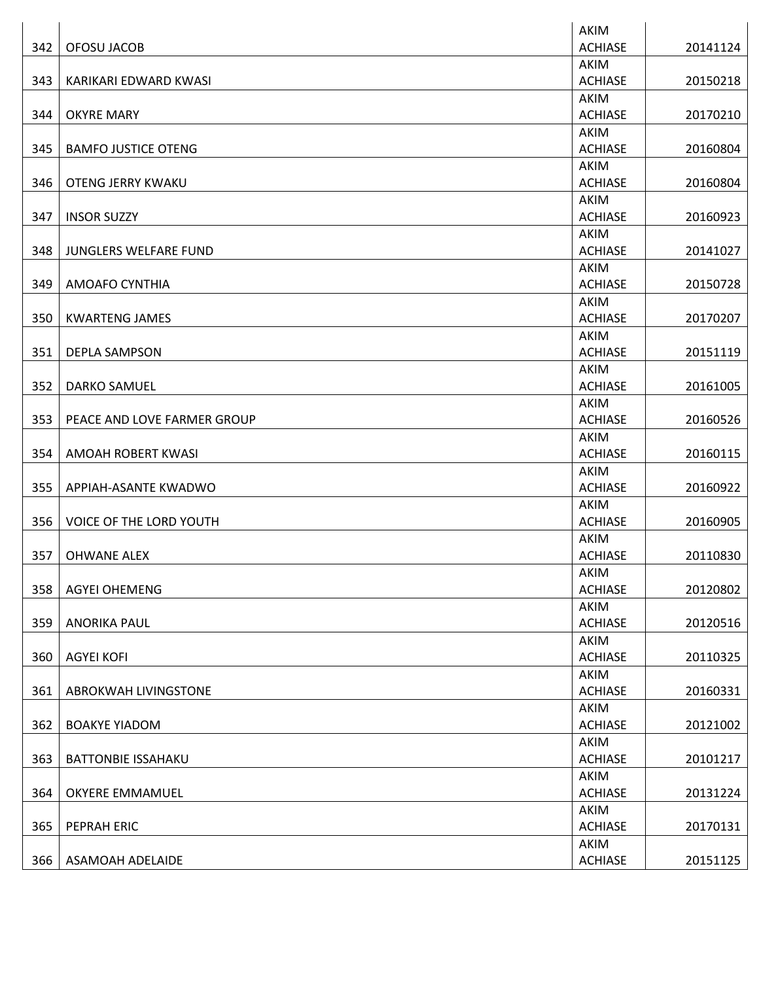|     |                                | AKIM           |          |
|-----|--------------------------------|----------------|----------|
| 342 | OFOSU JACOB                    | <b>ACHIASE</b> | 20141124 |
|     |                                | AKIM           |          |
| 343 | KARIKARI EDWARD KWASI          | <b>ACHIASE</b> | 20150218 |
|     |                                | AKIM           |          |
| 344 | <b>OKYRE MARY</b>              | <b>ACHIASE</b> | 20170210 |
|     |                                | AKIM           |          |
| 345 | <b>BAMFO JUSTICE OTENG</b>     | <b>ACHIASE</b> | 20160804 |
|     |                                | AKIM           |          |
| 346 | <b>OTENG JERRY KWAKU</b>       | <b>ACHIASE</b> | 20160804 |
|     |                                | AKIM           |          |
| 347 | <b>INSOR SUZZY</b>             | <b>ACHIASE</b> | 20160923 |
|     |                                | AKIM           |          |
| 348 | JUNGLERS WELFARE FUND          | <b>ACHIASE</b> | 20141027 |
|     |                                | <b>AKIM</b>    |          |
| 349 | <b>AMOAFO CYNTHIA</b>          | <b>ACHIASE</b> | 20150728 |
|     |                                | AKIM           |          |
| 350 | <b>KWARTENG JAMES</b>          | <b>ACHIASE</b> | 20170207 |
|     |                                | AKIM           |          |
| 351 | <b>DEPLA SAMPSON</b>           | <b>ACHIASE</b> | 20151119 |
|     |                                | AKIM           |          |
| 352 | <b>DARKO SAMUEL</b>            | <b>ACHIASE</b> | 20161005 |
|     |                                | <b>AKIM</b>    |          |
| 353 | PEACE AND LOVE FARMER GROUP    | <b>ACHIASE</b> | 20160526 |
|     |                                | AKIM           |          |
| 354 | AMOAH ROBERT KWASI             | <b>ACHIASE</b> | 20160115 |
|     |                                | <b>AKIM</b>    |          |
| 355 | APPIAH-ASANTE KWADWO           | <b>ACHIASE</b> | 20160922 |
|     |                                | AKIM           |          |
| 356 | <b>VOICE OF THE LORD YOUTH</b> | <b>ACHIASE</b> | 20160905 |
|     |                                | AKIM           |          |
| 357 | <b>OHWANE ALEX</b>             | <b>ACHIASE</b> | 20110830 |
|     |                                | <b>AKIM</b>    |          |
| 358 | <b>AGYEI OHEMENG</b>           | <b>ACHIASE</b> | 20120802 |
|     |                                | AKIM           |          |
| 359 | <b>ANORIKA PAUL</b>            | <b>ACHIASE</b> | 20120516 |
|     |                                | <b>AKIM</b>    |          |
| 360 | <b>AGYEI KOFI</b>              | <b>ACHIASE</b> | 20110325 |
|     |                                | AKIM           |          |
| 361 | ABROKWAH LIVINGSTONE           | <b>ACHIASE</b> | 20160331 |
|     |                                | AKIM           |          |
| 362 | <b>BOAKYE YIADOM</b>           | <b>ACHIASE</b> | 20121002 |
|     |                                | AKIM           |          |
| 363 | <b>BATTONBIE ISSAHAKU</b>      | <b>ACHIASE</b> | 20101217 |
|     |                                | AKIM           |          |
| 364 | OKYERE EMMAMUEL                | <b>ACHIASE</b> | 20131224 |
|     |                                | AKIM           |          |
| 365 | PEPRAH ERIC                    | <b>ACHIASE</b> | 20170131 |
|     |                                | AKIM           |          |
| 366 | ASAMOAH ADELAIDE               | <b>ACHIASE</b> | 20151125 |